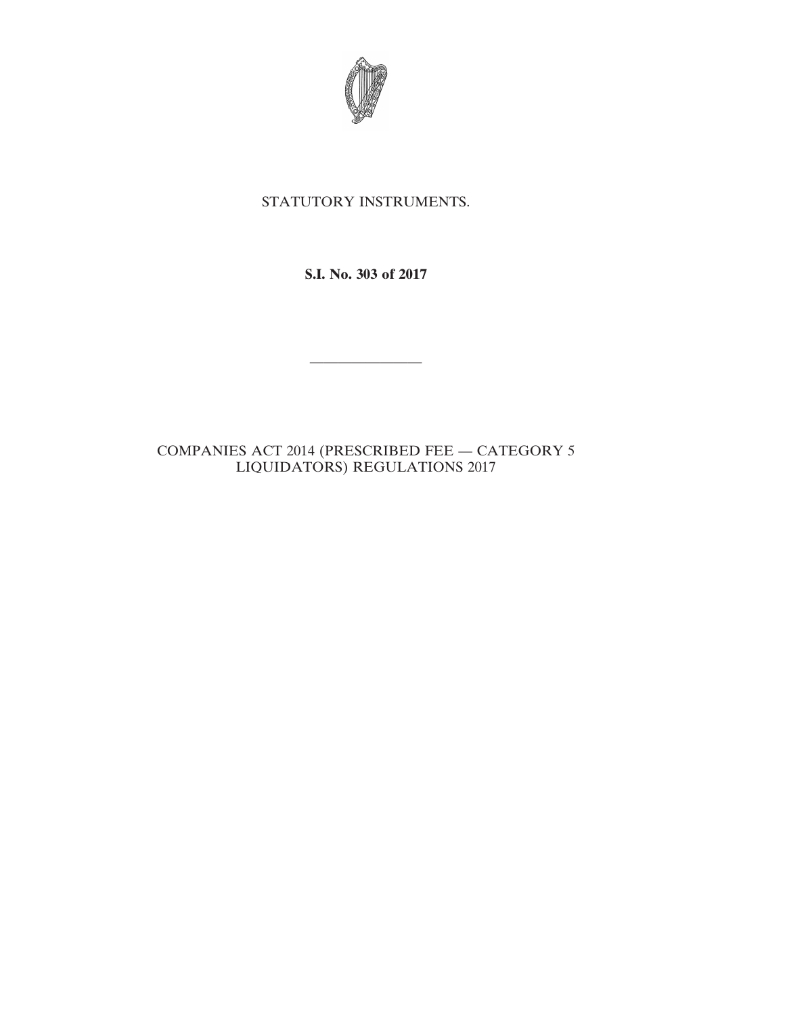

# STATUTORY INSTRUMENTS.

**S.I. No. 303 of 2017**

————————

# COMPANIES ACT 2014 (PRESCRIBED FEE — CATEGORY 5 LIQUIDATORS) REGULATIONS 2017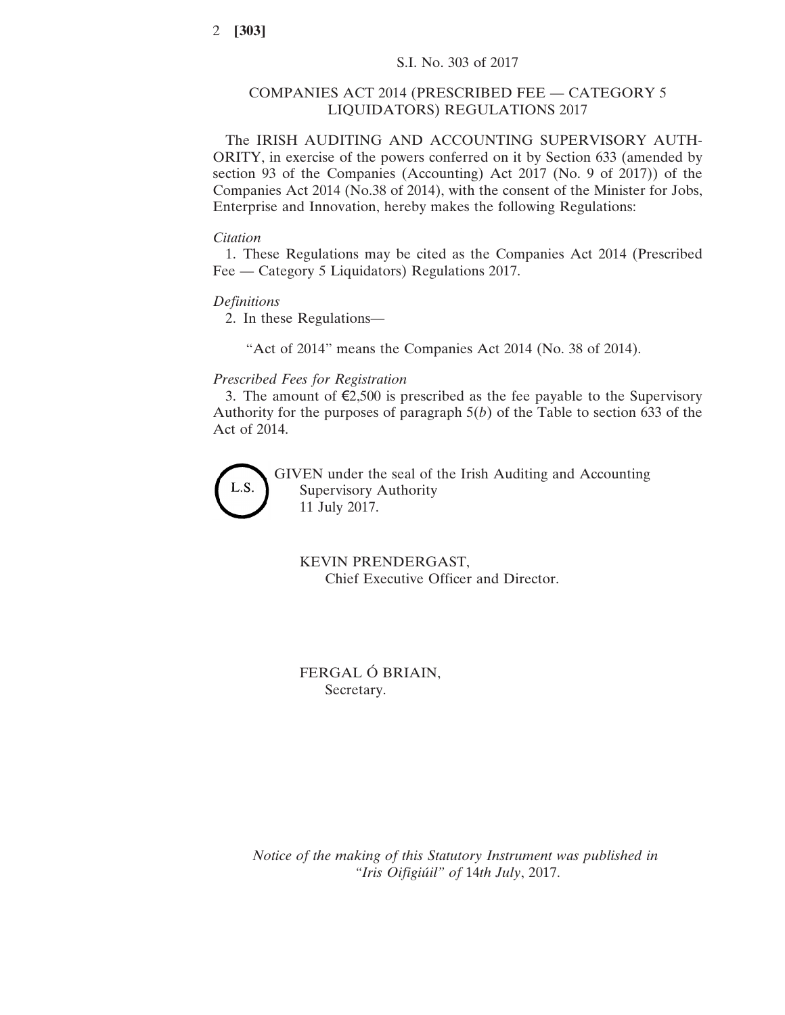## COMPANIES ACT 2014 (PRESCRIBED FEE — CATEGORY 5 LIQUIDATORS) REGULATIONS 2017

The IRISH AUDITING AND ACCOUNTING SUPERVISORY AUTH-ORITY, in exercise of the powers conferred on it by Section 633 (amended by section 93 of the Companies (Accounting) Act 2017 (No. 9 of 2017)) of the Companies Act 2014 (No.38 of 2014), with the consent of the Minister for Jobs, Enterprise and Innovation, hereby makes the following Regulations:

#### *Citation*

1. These Regulations may be cited as the Companies Act 2014 (Prescribed Fee — Category 5 Liquidators) Regulations 2017.

## *Definitions*

2. In these Regulations—

"Act of 2014" means the Companies Act 2014 (No. 38 of 2014).

## *Prescribed Fees for Registration*

3. The amount of  $\epsilon$ 2,500 is prescribed as the fee payable to the Supervisory Authority for the purposes of paragraph 5(*b*) of the Table to section 633 of the Act of 2014.



GIVEN under the seal of the Irish Auditing and Accounting Supervisory Authority 11 July 2017.

KEVIN PRENDERGAST, Chief Executive Officer and Director.

FERGAL Ó BRIAIN, Secretary.

*Notice of the making of this Statutory Instrument was published in "Iris Oifigiúil" of* 14*th July*, 2017.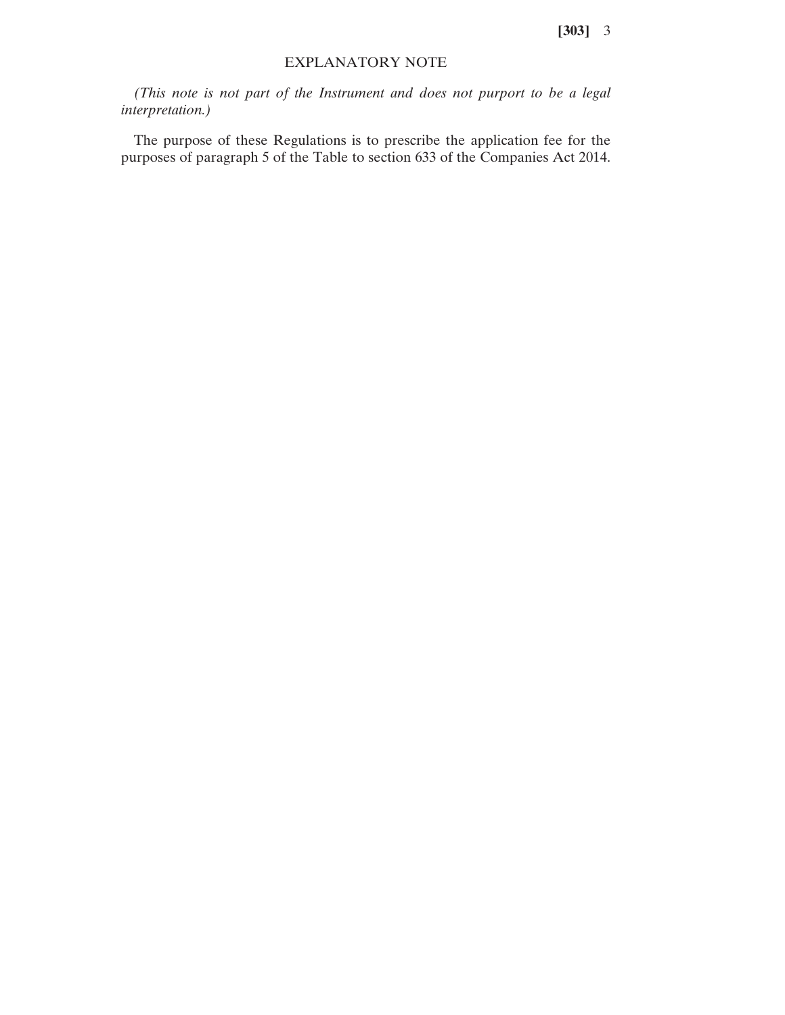**[303]** 3

## EXPLANATORY NOTE

*(This note is not part of the Instrument and does not purport to be a legal interpretation.)*

The purpose of these Regulations is to prescribe the application fee for the purposes of paragraph 5 of the Table to section 633 of the Companies Act 2014.